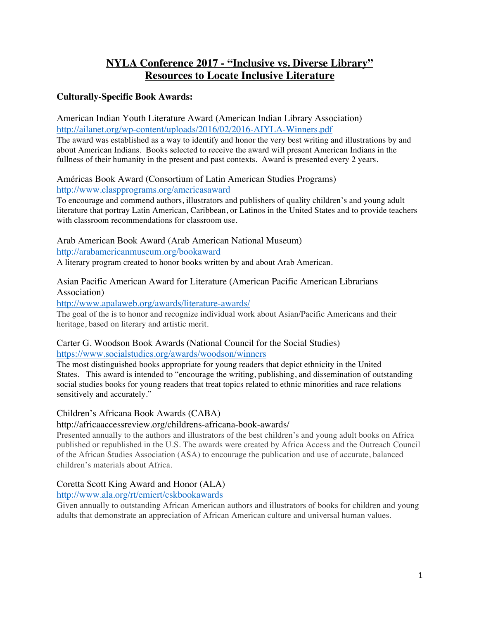# **NYLA Conference 2017 - "Inclusive vs. Diverse Library" Resources to Locate Inclusive Literature**

# **Culturally-Specific Book Awards:**

American Indian Youth Literature Award (American Indian Library Association) http://ailanet.org/wp-content/uploads/2016/02/2016-AIYLA-Winners.pdf

The award was established as a way to identify and honor the very best writing and illustrations by and about American Indians. Books selected to receive the award will present American Indians in the fullness of their humanity in the present and past contexts. Award is presented every 2 years.

Américas Book Award (Consortium of Latin American Studies Programs) http://www.claspprograms.org/americasaward

To encourage and commend authors, illustrators and publishers of quality children's and young adult literature that portray Latin American, Caribbean, or Latinos in the United States and to provide teachers with classroom recommendations for classroom use.

Arab American Book Award (Arab American National Museum)

http://arabamericanmuseum.org/bookaward

A literary program created to honor books written by and about Arab American.

### Asian Pacific American Award for Literature (American Pacific American Librarians Association)

http://www.apalaweb.org/awards/literature-awards/

The goal of the is to honor and recognize individual work about Asian/Pacific Americans and their heritage, based on literary and artistic merit.

#### Carter G. Woodson Book Awards (National Council for the Social Studies) https://www.socialstudies.org/awards/woodson/winners

The most distinguished books appropriate for young readers that depict ethnicity in the United States. This award is intended to "encourage the writing, publishing, and dissemination of outstanding social studies books for young readers that treat topics related to ethnic minorities and race relations sensitively and accurately."

# Children's Africana Book Awards (CABA)

# http://africaaccessreview.org/childrens-africana-book-awards/

Presented annually to the authors and illustrators of the best children's and young adult books on Africa published or republished in the U.S. The awards were created by Africa Access and the Outreach Council of the African Studies Association (ASA) to encourage the publication and use of accurate, balanced children's materials about Africa.

# Coretta Scott King Award and Honor (ALA)

# http://www.ala.org/rt/emiert/cskbookawards

Given annually to outstanding African American authors and illustrators of books for children and young adults that demonstrate an appreciation of African American culture and universal human values.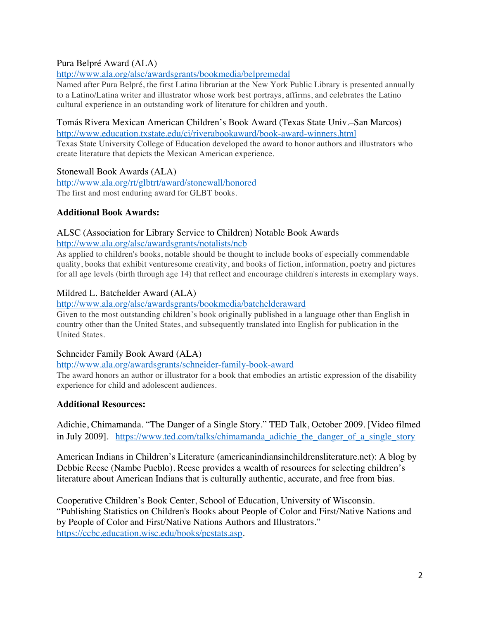# Pura Belpré Award (ALA)

# http://www.ala.org/alsc/awardsgrants/bookmedia/belpremedal

Named after Pura Belpré, the first Latina librarian at the New York Public Library is presented annually to a Latino/Latina writer and illustrator whose work best portrays, affirms, and celebrates the Latino cultural experience in an outstanding work of literature for children and youth.

# Tomás Rivera Mexican American Children's Book Award (Texas State Univ.–San Marcos)

http://www.education.txstate.edu/ci/riverabookaward/book-award-winners.html Texas State University College of Education developed the award to honor authors and illustrators who create literature that depicts the Mexican American experience.

#### Stonewall Book Awards (ALA)

http://www.ala.org/rt/glbtrt/award/stonewall/honored The first and most enduring award for GLBT books.

# **Additional Book Awards:**

# ALSC (Association for Library Service to Children) Notable Book Awards

#### http://www.ala.org/alsc/awardsgrants/notalists/ncb

As applied to children's books, notable should be thought to include books of especially commendable quality, books that exhibit venturesome creativity, and books of fiction, information, poetry and pictures for all age levels (birth through age 14) that reflect and encourage children's interests in exemplary ways.

# Mildred L. Batchelder Award (ALA)

# http://www.ala.org/alsc/awardsgrants/bookmedia/batchelderaward

Given to the most outstanding children's book originally published in a language other than English in country other than the United States, and subsequently translated into English for publication in the United States.

# Schneider Family Book Award (ALA)

# http://www.ala.org/awardsgrants/schneider-family-book-award

The award honors an author or illustrator for a book that embodies an artistic expression of the disability experience for child and adolescent audiences.

# **Additional Resources:**

Adichie, Chimamanda. "The Danger of a Single Story." TED Talk, October 2009. [Video filmed in July 2009]. https://www.ted.com/talks/chimamanda adichie the danger of a single story

American Indians in Children's Literature (americanindiansinchildrensliterature.net): A blog by Debbie Reese (Nambe Pueblo). Reese provides a wealth of resources for selecting children's literature about American Indians that is culturally authentic, accurate, and free from bias.

Cooperative Children's Book Center, School of Education, University of Wisconsin. "Publishing Statistics on Children's Books about People of Color and First/Native Nations and by People of Color and First/Native Nations Authors and Illustrators." https://ccbc.education.wisc.edu/books/pcstats.asp.